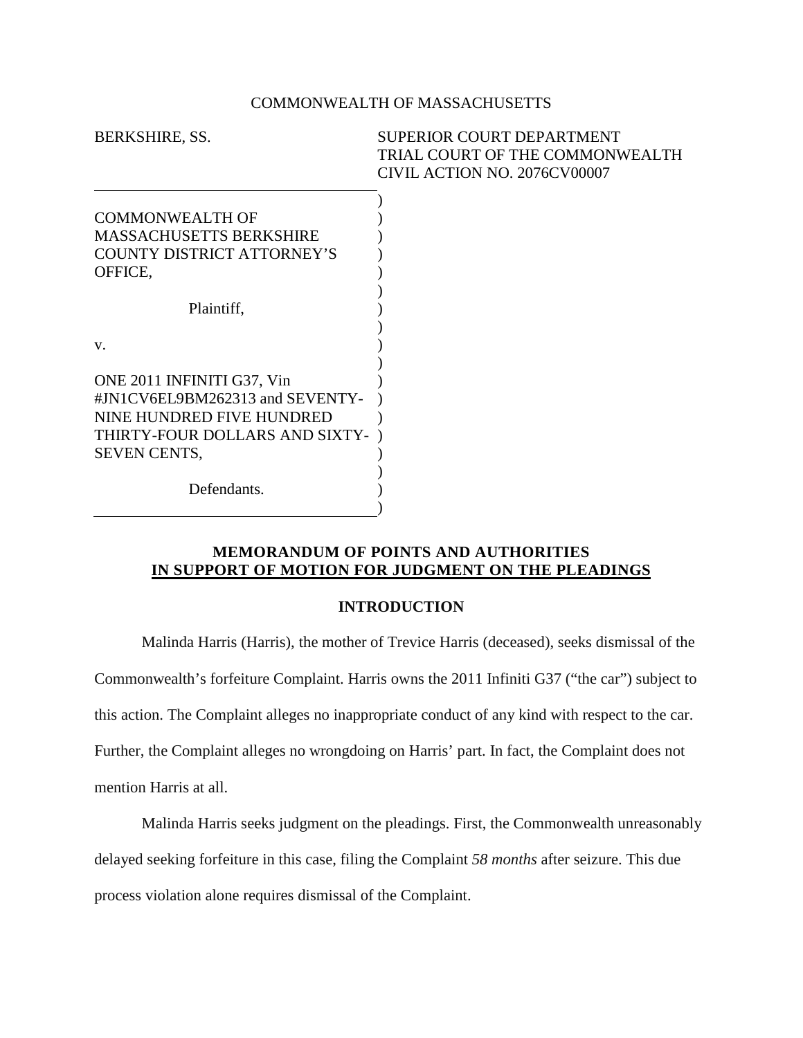## COMMONWEALTH OF MASSACHUSETTS

| BERKSHIRE, SS.                  | <b>SUPERIOR COURT DEPARTMENT</b> |
|---------------------------------|----------------------------------|
|                                 | TRIAL COURT OF THE COMMONWEALTH  |
|                                 | CIVIL ACTION NO. 2076CV00007     |
|                                 |                                  |
| <b>COMMONWEALTH OF</b>          |                                  |
| MASSACHUSETTS BERKSHIRE         |                                  |
| COUNTY DISTRICT ATTORNEY'S      |                                  |
| OFFICE,                         |                                  |
|                                 |                                  |
| Plaintiff,                      |                                  |
|                                 |                                  |
| V.                              |                                  |
|                                 |                                  |
| ONE 2011 INFINITI G37, Vin      |                                  |
| #JN1CV6EL9BM262313 and SEVENTY- |                                  |
| NINE HUNDRED FIVE HUNDRED       |                                  |
| THIRTY-FOUR DOLLARS AND SIXTY-  |                                  |
| <b>SEVEN CENTS,</b>             |                                  |
|                                 |                                  |
| Defendants.                     |                                  |
|                                 |                                  |

# **MEMORANDUM OF POINTS AND AUTHORITIES IN SUPPORT OF MOTION FOR JUDGMENT ON THE PLEADINGS**

## **INTRODUCTION**

Malinda Harris (Harris), the mother of Trevice Harris (deceased), seeks dismissal of the Commonwealth's forfeiture Complaint. Harris owns the 2011 Infiniti G37 ("the car") subject to this action. The Complaint alleges no inappropriate conduct of any kind with respect to the car. Further, the Complaint alleges no wrongdoing on Harris' part. In fact, the Complaint does not mention Harris at all.

Malinda Harris seeks judgment on the pleadings. First, the Commonwealth unreasonably delayed seeking forfeiture in this case, filing the Complaint *58 months* after seizure. This due process violation alone requires dismissal of the Complaint.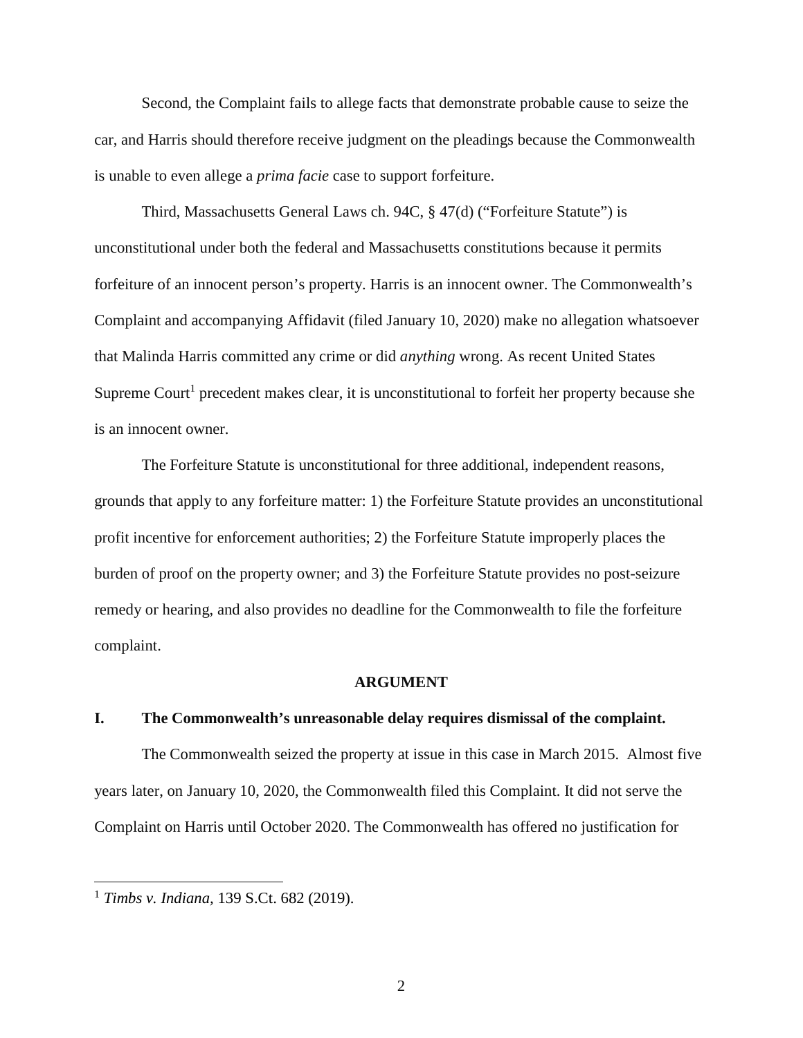Second, the Complaint fails to allege facts that demonstrate probable cause to seize the car, and Harris should therefore receive judgment on the pleadings because the Commonwealth is unable to even allege a *prima facie* case to support forfeiture.

Third, Massachusetts General Laws ch. 94C, § 47(d) ("Forfeiture Statute") is unconstitutional under both the federal and Massachusetts constitutions because it permits forfeiture of an innocent person's property. Harris is an innocent owner. The Commonwealth's Complaint and accompanying Affidavit (filed January 10, 2020) make no allegation whatsoever that Malinda Harris committed any crime or did *anything* wrong. As recent United States Supreme Court<sup>1</sup> precedent makes clear, it is unconstitutional to forfeit her property because she is an innocent owner.

The Forfeiture Statute is unconstitutional for three additional, independent reasons, grounds that apply to any forfeiture matter: 1) the Forfeiture Statute provides an unconstitutional profit incentive for enforcement authorities; 2) the Forfeiture Statute improperly places the burden of proof on the property owner; and 3) the Forfeiture Statute provides no post-seizure remedy or hearing, and also provides no deadline for the Commonwealth to file the forfeiture complaint.

#### **ARGUMENT**

#### **I. The Commonwealth's unreasonable delay requires dismissal of the complaint.**

The Commonwealth seized the property at issue in this case in March 2015. Almost five years later, on January 10, 2020, the Commonwealth filed this Complaint. It did not serve the Complaint on Harris until October 2020. The Commonwealth has offered no justification for

<sup>1</sup> *Timbs v. Indiana,* 139 S.Ct. 682 (2019).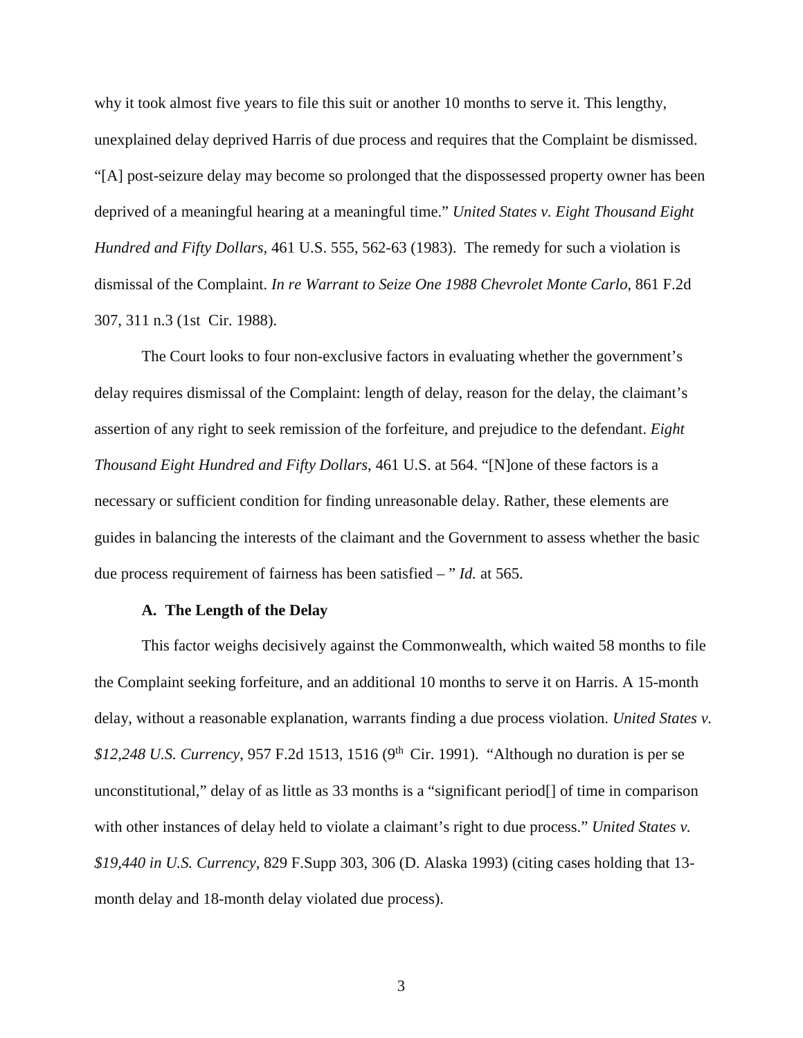why it took almost five years to file this suit or another 10 months to serve it. This lengthy, unexplained delay deprived Harris of due process and requires that the Complaint be dismissed. "[A] post-seizure delay may become so prolonged that the dispossessed property owner has been deprived of a meaningful hearing at a meaningful time." *United States v. Eight Thousand Eight Hundred and Fifty Dollars,* 461 U.S. 555, 562-63 (1983). The remedy for such a violation is dismissal of the Complaint. *In re Warrant to Seize One 1988 Chevrolet Monte Carlo*, 861 F.2d 307, 311 n.3 (1st Cir. 1988).

The Court looks to four non-exclusive factors in evaluating whether the government's delay requires dismissal of the Complaint: length of delay, reason for the delay, the claimant's assertion of any right to seek remission of the forfeiture, and prejudice to the defendant. *Eight Thousand Eight Hundred and Fifty Dollars*, 461 U.S. at 564. "[N]one of these factors is a necessary or sufficient condition for finding unreasonable delay. Rather, these elements are guides in balancing the interests of the claimant and the Government to assess whether the basic due process requirement of fairness has been satisfied – " *Id.* at 565.

### **A. The Length of the Delay**

This factor weighs decisively against the Commonwealth, which waited 58 months to file the Complaint seeking forfeiture, and an additional 10 months to serve it on Harris. A 15-month delay, without a reasonable explanation, warrants finding a due process violation. *United States v.*  \$12,248 U.S. Currency, 957 F.2d 1513, 1516 (9<sup>th</sup> Cir. 1991). "Although no duration is per se unconstitutional," delay of as little as 33 months is a "significant period[] of time in comparison with other instances of delay held to violate a claimant's right to due process." *United States v. \$19,440 in U.S. Currency*, 829 F.Supp 303, 306 (D. Alaska 1993) (citing cases holding that 13 month delay and 18-month delay violated due process).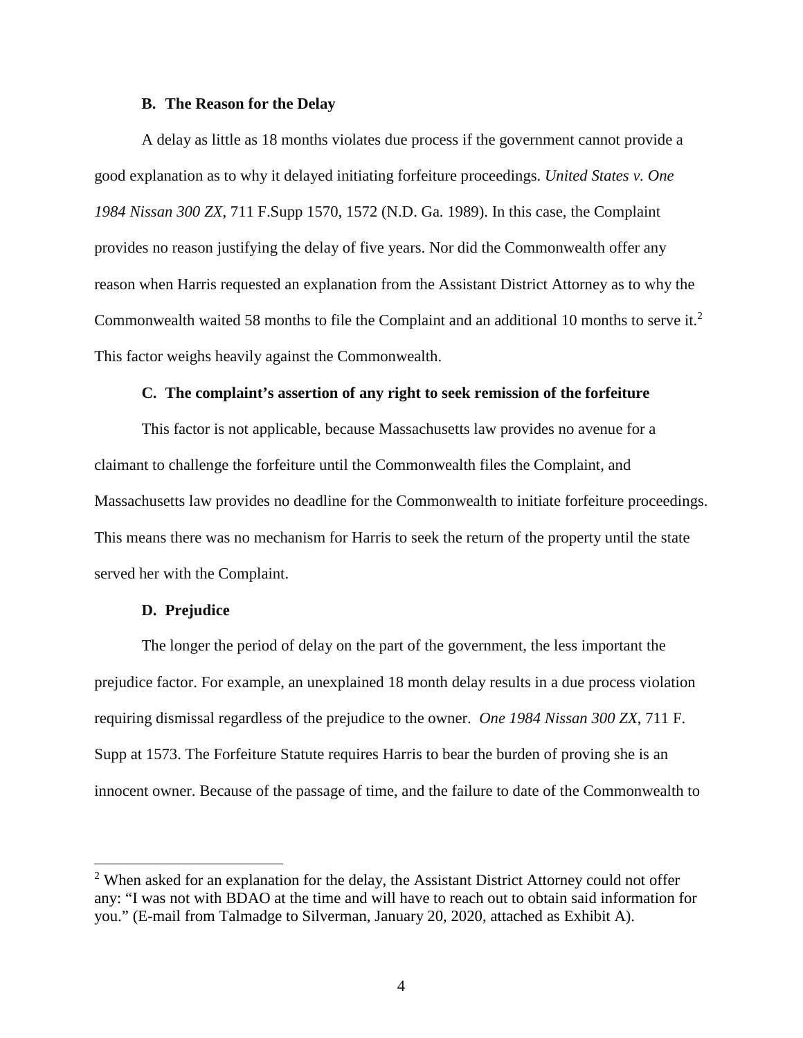#### **B. The Reason for the Delay**

A delay as little as 18 months violates due process if the government cannot provide a good explanation as to why it delayed initiating forfeiture proceedings. *United States v. One 1984 Nissan 300 ZX*, 711 F.Supp 1570, 1572 (N.D. Ga. 1989). In this case, the Complaint provides no reason justifying the delay of five years. Nor did the Commonwealth offer any reason when Harris requested an explanation from the Assistant District Attorney as to why the Commonwealth waited 58 months to file the Complaint and an additional 10 months to serve it.<sup>2</sup> This factor weighs heavily against the Commonwealth.

#### **C. The complaint's assertion of any right to seek remission of the forfeiture**

This factor is not applicable, because Massachusetts law provides no avenue for a claimant to challenge the forfeiture until the Commonwealth files the Complaint, and Massachusetts law provides no deadline for the Commonwealth to initiate forfeiture proceedings. This means there was no mechanism for Harris to seek the return of the property until the state served her with the Complaint.

### **D. Prejudice**

The longer the period of delay on the part of the government, the less important the prejudice factor. For example, an unexplained 18 month delay results in a due process violation requiring dismissal regardless of the prejudice to the owner. *One 1984 Nissan 300 ZX*, 711 F. Supp at 1573. The Forfeiture Statute requires Harris to bear the burden of proving she is an innocent owner. Because of the passage of time, and the failure to date of the Commonwealth to

 $2$  When asked for an explanation for the delay, the Assistant District Attorney could not offer any: "I was not with BDAO at the time and will have to reach out to obtain said information for you." (E-mail from Talmadge to Silverman, January 20, 2020, attached as Exhibit A).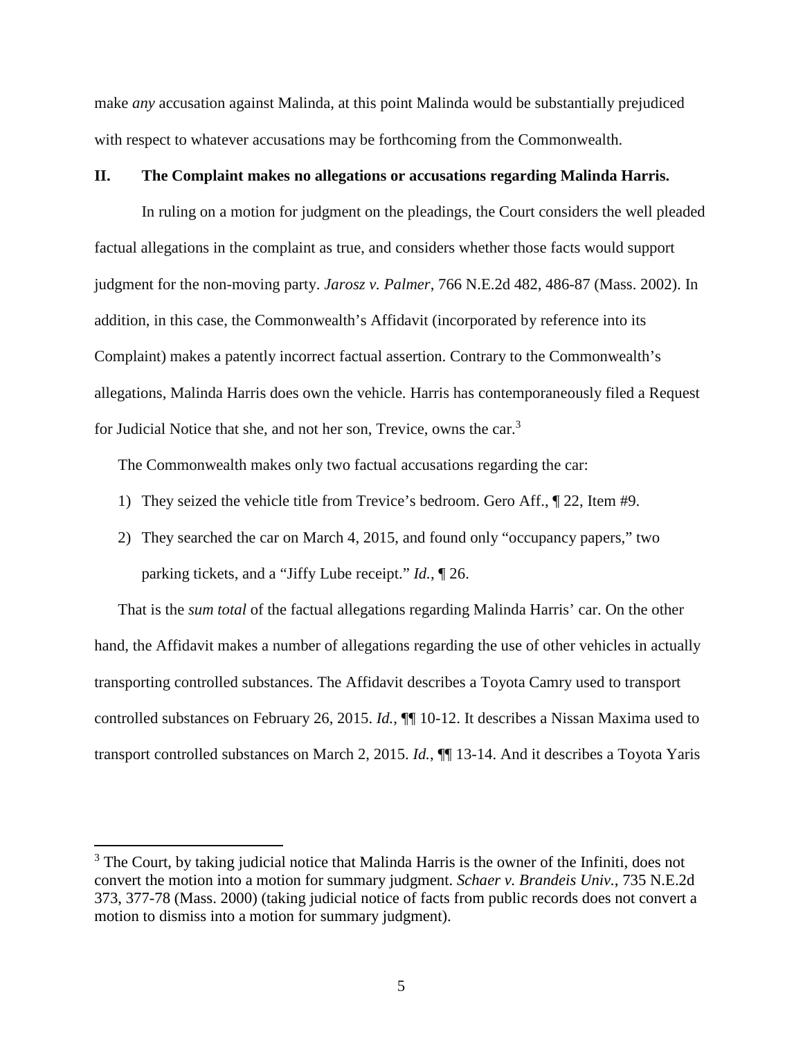make *any* accusation against Malinda, at this point Malinda would be substantially prejudiced with respect to whatever accusations may be forthcoming from the Commonwealth.

## **II. The Complaint makes no allegations or accusations regarding Malinda Harris.**

In ruling on a motion for judgment on the pleadings, the Court considers the well pleaded factual allegations in the complaint as true, and considers whether those facts would support judgment for the non-moving party. *Jarosz v. Palmer*, 766 N.E.2d 482, 486-87 (Mass. 2002). In addition, in this case, the Commonwealth's Affidavit (incorporated by reference into its Complaint) makes a patently incorrect factual assertion. Contrary to the Commonwealth's allegations, Malinda Harris does own the vehicle. Harris has contemporaneously filed a Request for Judicial Notice that she, and not her son, Trevice, owns the car.<sup>3</sup>

The Commonwealth makes only two factual accusations regarding the car:

- 1) They seized the vehicle title from Trevice's bedroom. Gero Aff., ¶ 22, Item #9.
- 2) They searched the car on March 4, 2015, and found only "occupancy papers," two parking tickets, and a "Jiffy Lube receipt." *Id.*, ¶ 26.

That is the *sum total* of the factual allegations regarding Malinda Harris' car. On the other hand, the Affidavit makes a number of allegations regarding the use of other vehicles in actually transporting controlled substances. The Affidavit describes a Toyota Camry used to transport controlled substances on February 26, 2015. *Id.*, ¶¶ 10-12. It describes a Nissan Maxima used to transport controlled substances on March 2, 2015. *Id.*, ¶¶ 13-14. And it describes a Toyota Yaris

<sup>&</sup>lt;sup>3</sup> The Court, by taking judicial notice that Malinda Harris is the owner of the Infiniti, does not convert the motion into a motion for summary judgment. *Schaer v. Brandeis Univ.*, 735 N.E.2d 373, 377-78 (Mass. 2000) (taking judicial notice of facts from public records does not convert a motion to dismiss into a motion for summary judgment).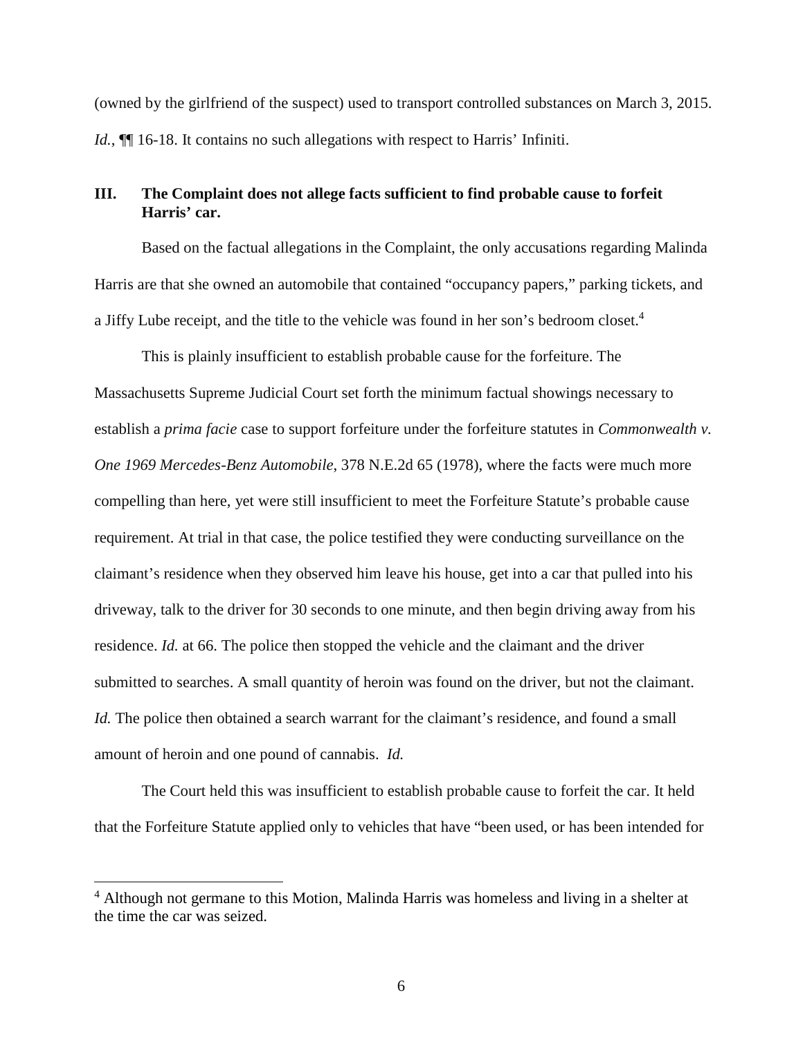(owned by the girlfriend of the suspect) used to transport controlled substances on March 3, 2015. *Id.*,  $\P$  16-18. It contains no such allegations with respect to Harris' Infiniti.

# **III. The Complaint does not allege facts sufficient to find probable cause to forfeit Harris' car.**

Based on the factual allegations in the Complaint, the only accusations regarding Malinda Harris are that she owned an automobile that contained "occupancy papers," parking tickets, and a Jiffy Lube receipt, and the title to the vehicle was found in her son's bedroom closet.<sup>4</sup>

This is plainly insufficient to establish probable cause for the forfeiture. The Massachusetts Supreme Judicial Court set forth the minimum factual showings necessary to establish a *prima facie* case to support forfeiture under the forfeiture statutes in *Commonwealth v. One 1969 Mercedes-Benz Automobile*, 378 N.E.2d 65 (1978), where the facts were much more compelling than here, yet were still insufficient to meet the Forfeiture Statute's probable cause requirement. At trial in that case, the police testified they were conducting surveillance on the claimant's residence when they observed him leave his house, get into a car that pulled into his driveway, talk to the driver for 30 seconds to one minute, and then begin driving away from his residence. *Id.* at 66. The police then stopped the vehicle and the claimant and the driver submitted to searches. A small quantity of heroin was found on the driver, but not the claimant. *Id.* The police then obtained a search warrant for the claimant's residence, and found a small amount of heroin and one pound of cannabis. *Id.*

The Court held this was insufficient to establish probable cause to forfeit the car. It held that the Forfeiture Statute applied only to vehicles that have "been used, or has been intended for

<sup>&</sup>lt;sup>4</sup> Although not germane to this Motion, Malinda Harris was homeless and living in a shelter at the time the car was seized.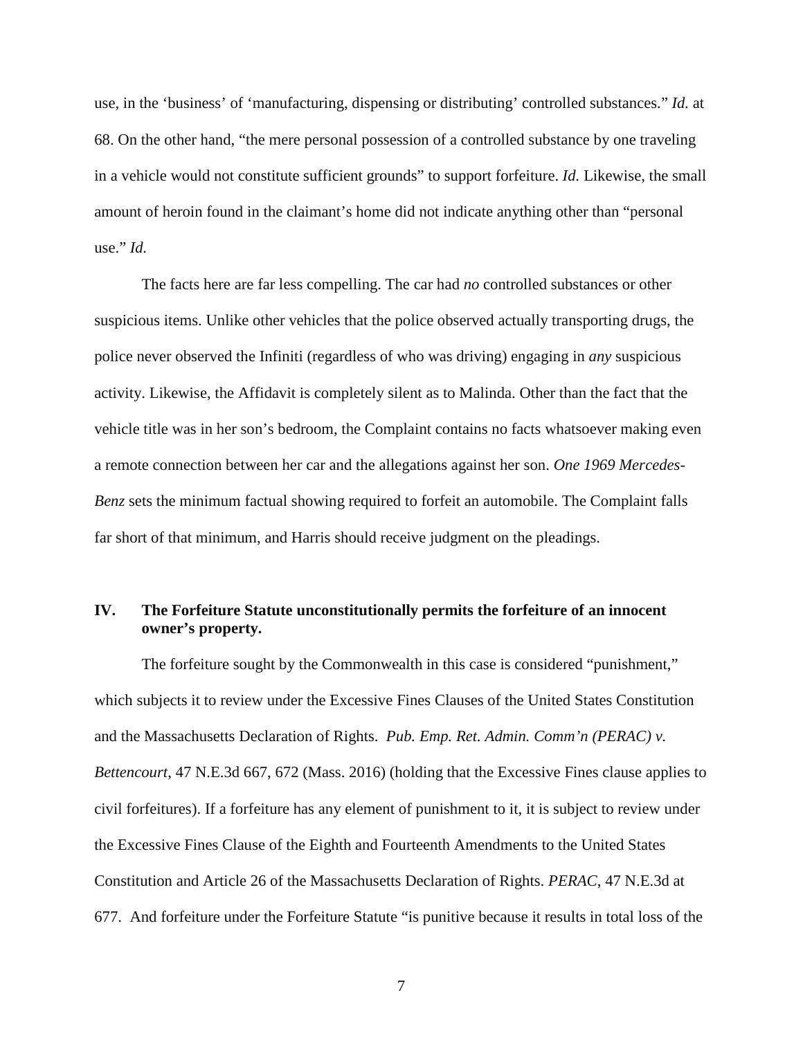use, in the 'business' of 'manufacturing, dispensing or distributing' controlled substances." *Id.* at 68. On the other hand, "the mere personal possession of a controlled substance by one traveling in a vehicle would not constitute sufficient grounds" to support forfeiture. *Id.* Likewise, the small amount of heroin found in the claimant's home did not indicate anything other than "personal use." *Id.* 

The facts here are far less compelling. The car had *no* controlled substances or other suspicious items. Unlike other vehicles that the police observed actually transporting drugs, the police never observed the Infiniti (regardless of who was driving) engaging in *any* suspicious activity. Likewise, the Affidavit is completely silent as to Malinda. Other than the fact that the vehicle title was in her son's bedroom, the Complaint contains no facts whatsoever making even a remote connection between her car and the allegations against her son. *One 1969 Mercedes-Benz* sets the minimum factual showing required to forfeit an automobile. The Complaint falls far short of that minimum, and Harris should receive judgment on the pleadings.

# **IV. The Forfeiture Statute unconstitutionally permits the forfeiture of an innocent owner's property.**

The forfeiture sought by the Commonwealth in this case is considered "punishment," which subjects it to review under the Excessive Fines Clauses of the United States Constitution and the Massachusetts Declaration of Rights. *Pub. Emp. Ret. Admin. Comm'n (PERAC) v. Bettencourt*, 47 N.E.3d 667, 672 (Mass. 2016) (holding that the Excessive Fines clause applies to civil forfeitures). If a forfeiture has any element of punishment to it, it is subject to review under the Excessive Fines Clause of the Eighth and Fourteenth Amendments to the United States Constitution and Article 26 of the Massachusetts Declaration of Rights. *PERAC*, 47 N.E.3d at 677. And forfeiture under the Forfeiture Statute "is punitive because it results in total loss of the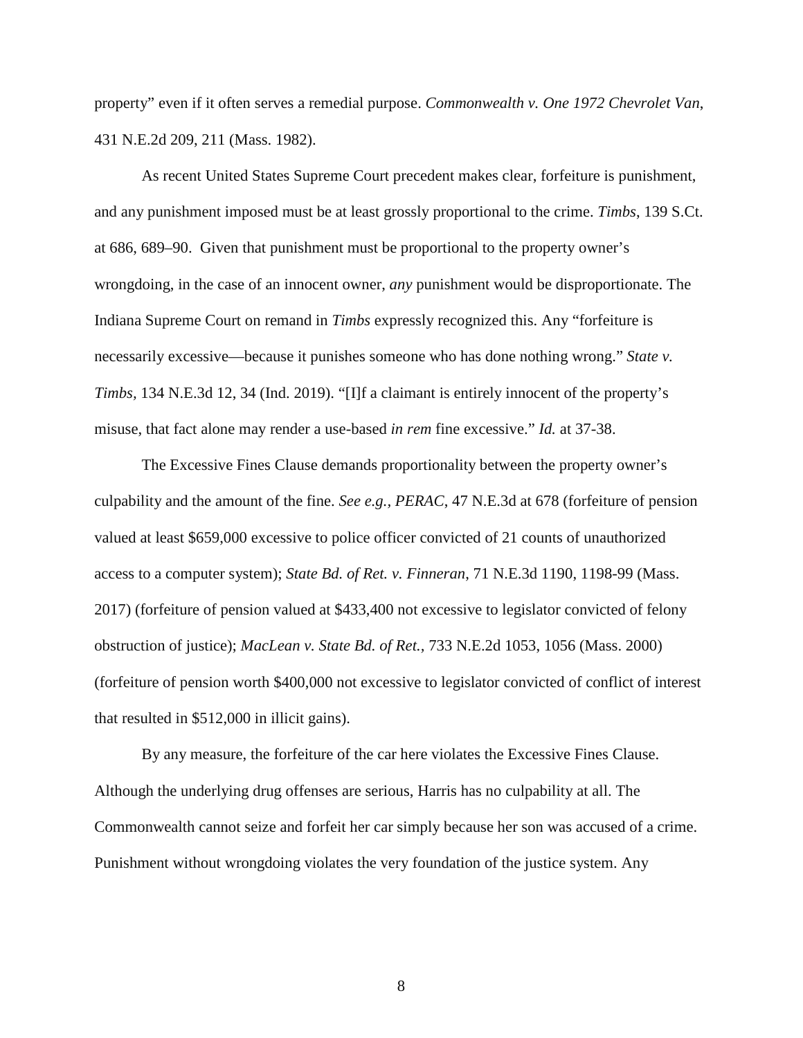property" even if it often serves a remedial purpose. *Commonwealth v. One 1972 Chevrolet Van*, 431 N.E.2d 209, 211 (Mass. 1982).

As recent United States Supreme Court precedent makes clear, forfeiture is punishment, and any punishment imposed must be at least grossly proportional to the crime. *Timbs*, 139 S.Ct. at 686, 689–90. Given that punishment must be proportional to the property owner's wrongdoing, in the case of an innocent owner, *any* punishment would be disproportionate. The Indiana Supreme Court on remand in *Timbs* expressly recognized this. Any "forfeiture is necessarily excessive—because it punishes someone who has done nothing wrong." *State v. Timbs,* 134 N.E.3d 12, 34 (Ind. 2019). "[I]f a claimant is entirely innocent of the property's misuse, that fact alone may render a use-based *in rem* fine excessive." *Id.* at 37-38.

The Excessive Fines Clause demands proportionality between the property owner's culpability and the amount of the fine. *See e.g., PERAC*, 47 N.E.3d at 678 (forfeiture of pension valued at least \$659,000 excessive to police officer convicted of 21 counts of unauthorized access to a computer system); *State Bd. of Ret. v. Finneran*, 71 N.E.3d 1190, 1198-99 (Mass. 2017) (forfeiture of pension valued at \$433,400 not excessive to legislator convicted of felony obstruction of justice); *MacLean v. State Bd. of Ret.,* 733 N.E.2d 1053, 1056 (Mass. 2000) (forfeiture of pension worth \$400,000 not excessive to legislator convicted of conflict of interest that resulted in \$512,000 in illicit gains).

By any measure, the forfeiture of the car here violates the Excessive Fines Clause. Although the underlying drug offenses are serious, Harris has no culpability at all. The Commonwealth cannot seize and forfeit her car simply because her son was accused of a crime. Punishment without wrongdoing violates the very foundation of the justice system. Any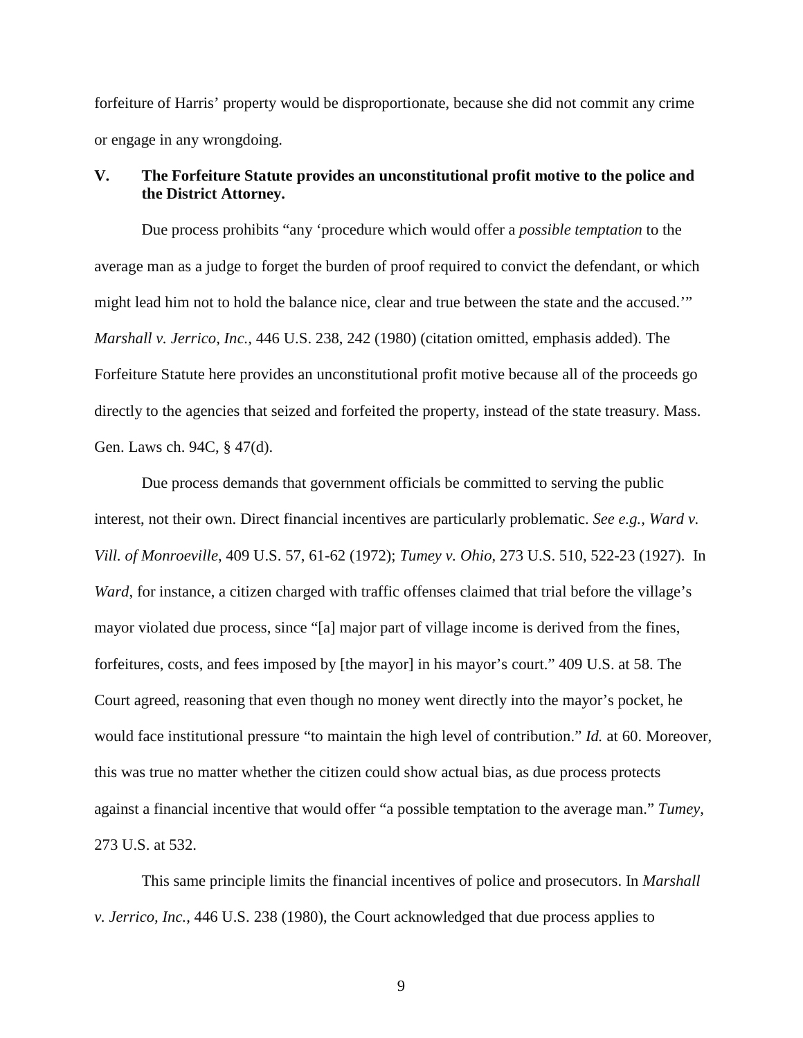forfeiture of Harris' property would be disproportionate, because she did not commit any crime or engage in any wrongdoing.

# **V. The Forfeiture Statute provides an unconstitutional profit motive to the police and the District Attorney.**

Due process prohibits "any 'procedure which would offer a *possible temptation* to the average man as a judge to forget the burden of proof required to convict the defendant, or which might lead him not to hold the balance nice, clear and true between the state and the accused.'" *Marshall v. Jerrico, Inc.,* 446 U.S. 238, 242 (1980) (citation omitted, emphasis added). The Forfeiture Statute here provides an unconstitutional profit motive because all of the proceeds go directly to the agencies that seized and forfeited the property, instead of the state treasury. Mass. Gen. Laws ch. 94C, § 47(d).

Due process demands that government officials be committed to serving the public interest, not their own. Direct financial incentives are particularly problematic. *See e.g., Ward v. Vill. of Monroeville*, 409 U.S. 57, 61-62 (1972); *Tumey v. Ohio*, 273 U.S. 510, 522-23 (1927). In *Ward*, for instance, a citizen charged with traffic offenses claimed that trial before the village's mayor violated due process, since "[a] major part of village income is derived from the fines, forfeitures, costs, and fees imposed by [the mayor] in his mayor's court." 409 U.S. at 58. The Court agreed, reasoning that even though no money went directly into the mayor's pocket, he would face institutional pressure "to maintain the high level of contribution." *Id.* at 60. Moreover, this was true no matter whether the citizen could show actual bias, as due process protects against a financial incentive that would offer "a possible temptation to the average man." *Tumey*, 273 U.S. at 532.

This same principle limits the financial incentives of police and prosecutors. In *Marshall v. Jerrico, Inc.*, 446 U.S. 238 (1980), the Court acknowledged that due process applies to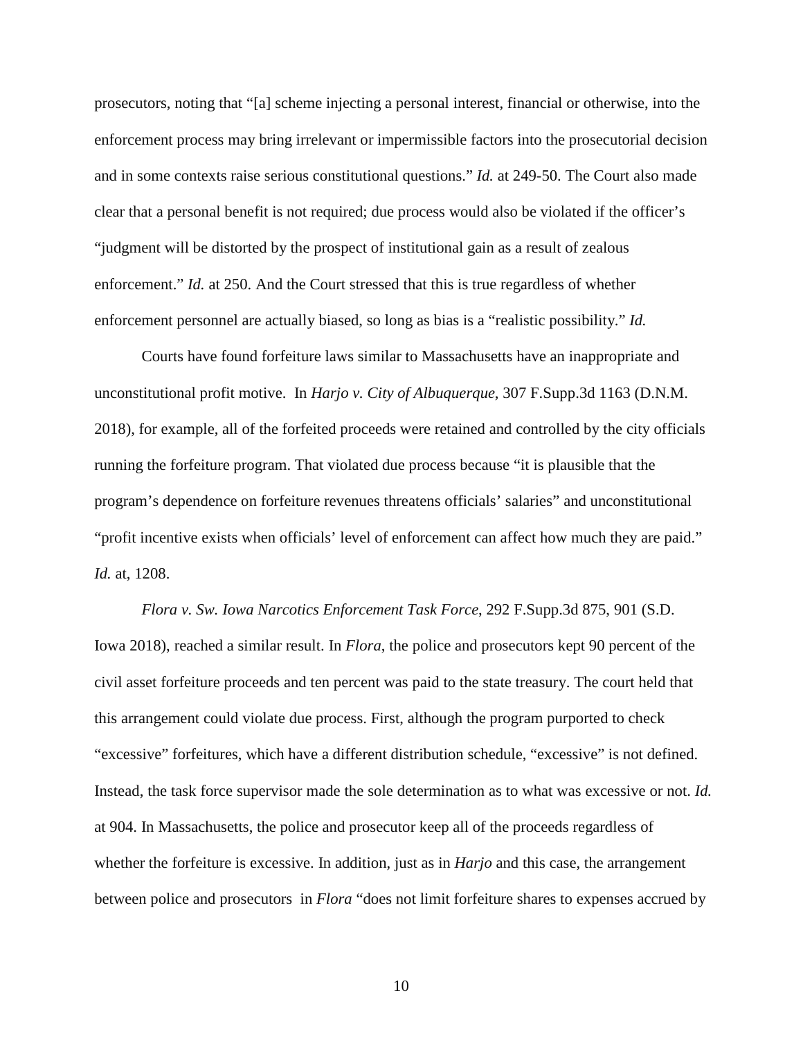prosecutors, noting that "[a] scheme injecting a personal interest, financial or otherwise, into the enforcement process may bring irrelevant or impermissible factors into the prosecutorial decision and in some contexts raise serious constitutional questions." *Id.* at 249-50. The Court also made clear that a personal benefit is not required; due process would also be violated if the officer's "judgment will be distorted by the prospect of institutional gain as a result of zealous enforcement." *Id.* at 250. And the Court stressed that this is true regardless of whether enforcement personnel are actually biased, so long as bias is a "realistic possibility." *Id.*

Courts have found forfeiture laws similar to Massachusetts have an inappropriate and unconstitutional profit motive. In *Harjo v. City of Albuquerque*, 307 F.Supp.3d 1163 (D.N.M. 2018), for example, all of the forfeited proceeds were retained and controlled by the city officials running the forfeiture program. That violated due process because "it is plausible that the program's dependence on forfeiture revenues threatens officials' salaries" and unconstitutional "profit incentive exists when officials' level of enforcement can affect how much they are paid." *Id.* at, 1208.

*Flora v. Sw. Iowa Narcotics Enforcement Task Force*, 292 F.Supp.3d 875, 901 (S.D. Iowa 2018), reached a similar result. In *Flora*, the police and prosecutors kept 90 percent of the civil asset forfeiture proceeds and ten percent was paid to the state treasury. The court held that this arrangement could violate due process. First, although the program purported to check "excessive" forfeitures, which have a different distribution schedule, "excessive" is not defined. Instead, the task force supervisor made the sole determination as to what was excessive or not. *Id.*  at 904. In Massachusetts, the police and prosecutor keep all of the proceeds regardless of whether the forfeiture is excessive. In addition, just as in *Harjo* and this case, the arrangement between police and prosecutors in *Flora* "does not limit forfeiture shares to expenses accrued by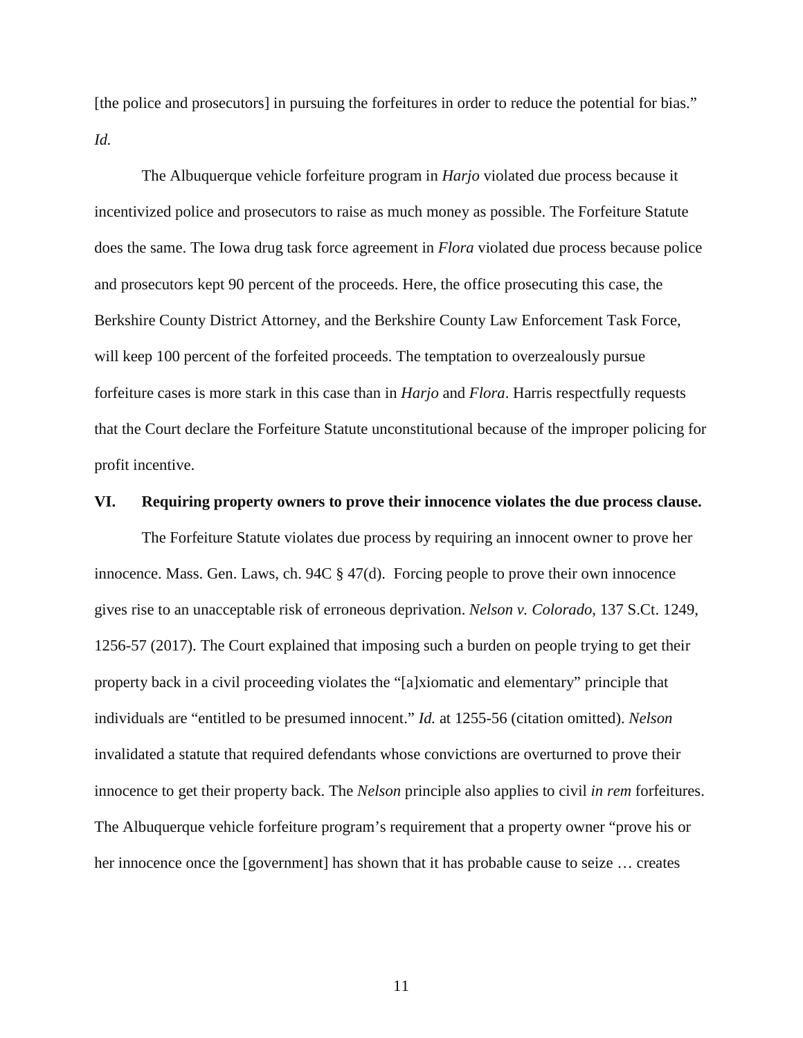[the police and prosecutors] in pursuing the forfeitures in order to reduce the potential for bias." *Id.* 

The Albuquerque vehicle forfeiture program in *Harjo* violated due process because it incentivized police and prosecutors to raise as much money as possible. The Forfeiture Statute does the same. The Iowa drug task force agreement in *Flora* violated due process because police and prosecutors kept 90 percent of the proceeds. Here, the office prosecuting this case, the Berkshire County District Attorney, and the Berkshire County Law Enforcement Task Force, will keep 100 percent of the forfeited proceeds. The temptation to overzealously pursue forfeiture cases is more stark in this case than in *Harjo* and *Flora*. Harris respectfully requests that the Court declare the Forfeiture Statute unconstitutional because of the improper policing for profit incentive.

## **VI. Requiring property owners to prove their innocence violates the due process clause.**

The Forfeiture Statute violates due process by requiring an innocent owner to prove her innocence. Mass. Gen. Laws, ch. 94C § 47(d). Forcing people to prove their own innocence gives rise to an unacceptable risk of erroneous deprivation. *Nelson v. Colorado*, 137 S.Ct. 1249, 1256-57 (2017). The Court explained that imposing such a burden on people trying to get their property back in a civil proceeding violates the "[a]xiomatic and elementary" principle that individuals are "entitled to be presumed innocent." *Id.* at 1255-56 (citation omitted). *Nelson*  invalidated a statute that required defendants whose convictions are overturned to prove their innocence to get their property back. The *Nelson* principle also applies to civil *in rem* forfeitures. The Albuquerque vehicle forfeiture program's requirement that a property owner "prove his or her innocence once the [government] has shown that it has probable cause to seize … creates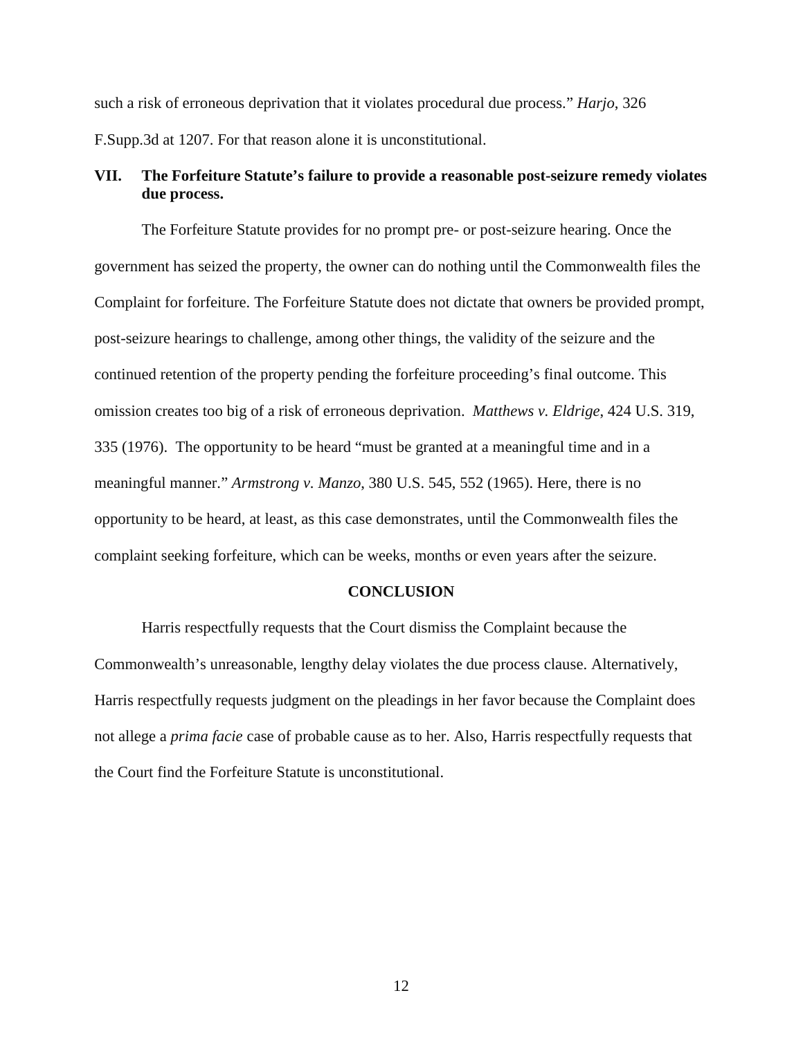such a risk of erroneous deprivation that it violates procedural due process." *Harjo*, 326 F.Supp.3d at 1207. For that reason alone it is unconstitutional.

# **VII. The Forfeiture Statute's failure to provide a reasonable post-seizure remedy violates due process.**

The Forfeiture Statute provides for no prompt pre- or post-seizure hearing. Once the government has seized the property, the owner can do nothing until the Commonwealth files the Complaint for forfeiture. The Forfeiture Statute does not dictate that owners be provided prompt, post-seizure hearings to challenge, among other things, the validity of the seizure and the continued retention of the property pending the forfeiture proceeding's final outcome. This omission creates too big of a risk of erroneous deprivation. *Matthews v. Eldrige*, 424 U.S. 319, 335 (1976). The opportunity to be heard "must be granted at a meaningful time and in a meaningful manner." *Armstrong v. Manzo*, 380 U.S. 545, 552 (1965). Here, there is no opportunity to be heard, at least, as this case demonstrates, until the Commonwealth files the complaint seeking forfeiture, which can be weeks, months or even years after the seizure.

### **CONCLUSION**

Harris respectfully requests that the Court dismiss the Complaint because the Commonwealth's unreasonable, lengthy delay violates the due process clause. Alternatively, Harris respectfully requests judgment on the pleadings in her favor because the Complaint does not allege a *prima facie* case of probable cause as to her. Also, Harris respectfully requests that the Court find the Forfeiture Statute is unconstitutional.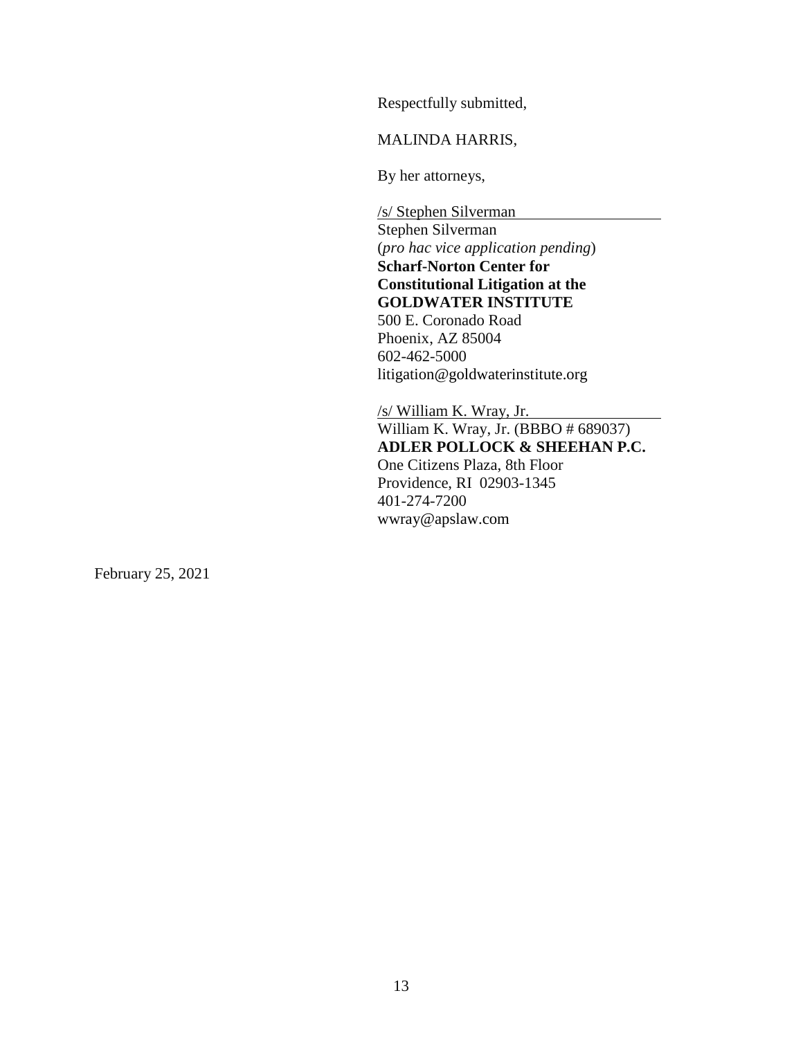Respectfully submitted,

MALINDA HARRIS,

By her attorneys,

/s/ Stephen Silverman Stephen Silverman (*pro hac vice application pending*) **Scharf-Norton Center for Constitutional Litigation at the GOLDWATER INSTITUTE**  500 E. Coronado Road Phoenix, AZ 85004 602-462-5000 litigation@goldwaterinstitute.org

/s/ William K. Wray, Jr. William K. Wray, Jr. (BBBO # 689037) **ADLER POLLOCK & SHEEHAN P.C.** One Citizens Plaza, 8th Floor Providence, RI 02903-1345 401-274-7200 wwray@apslaw.com

February 25, 2021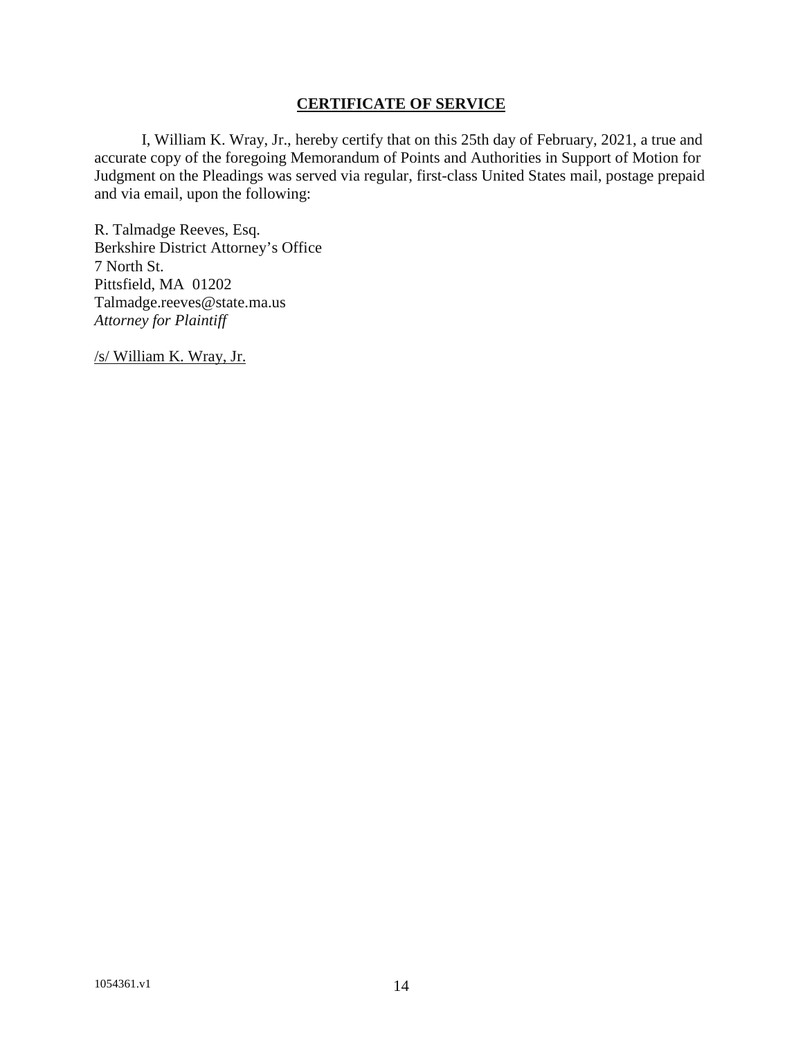## **CERTIFICATE OF SERVICE**

I, William K. Wray, Jr., hereby certify that on this 25th day of February, 2021, a true and accurate copy of the foregoing Memorandum of Points and Authorities in Support of Motion for Judgment on the Pleadings was served via regular, first-class United States mail, postage prepaid and via email, upon the following:

R. Talmadge Reeves, Esq. Berkshire District Attorney's Office 7 North St. Pittsfield, MA 01202 Talmadge.reeves@state.ma.us *Attorney for Plaintiff* 

/s/ William K. Wray, Jr.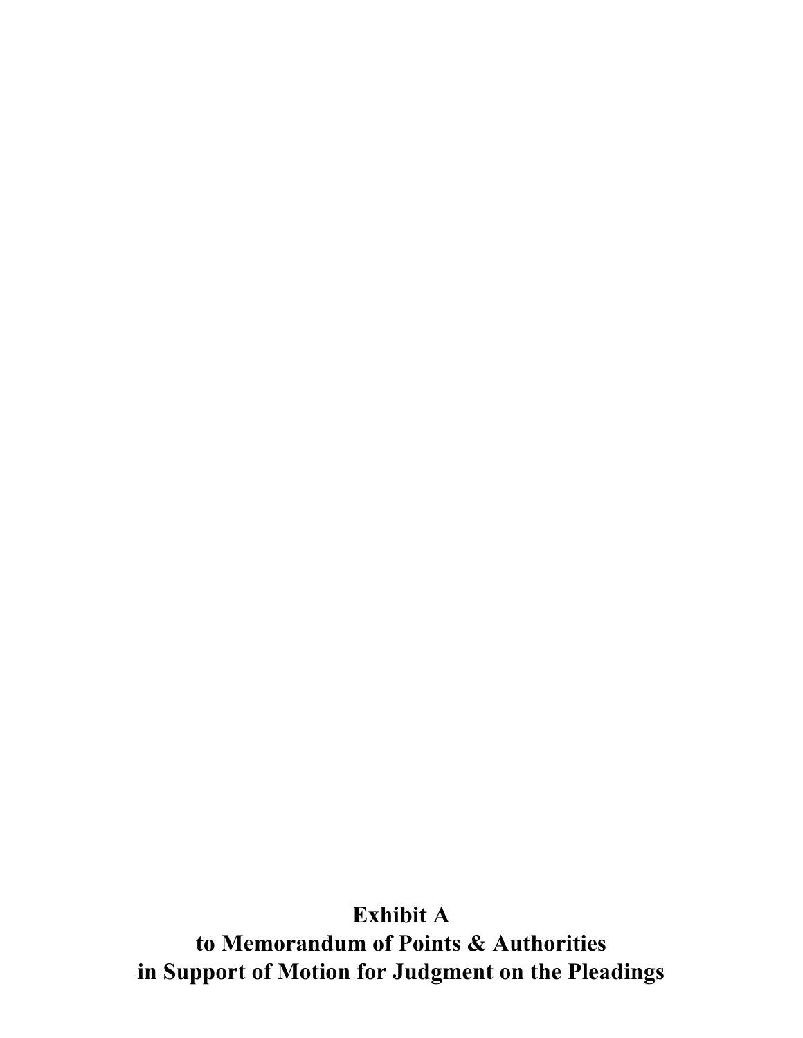**to Memorandum of Points & Authorities in Support of Motion for Judgment on the Pleadings**

# **Exhibit A**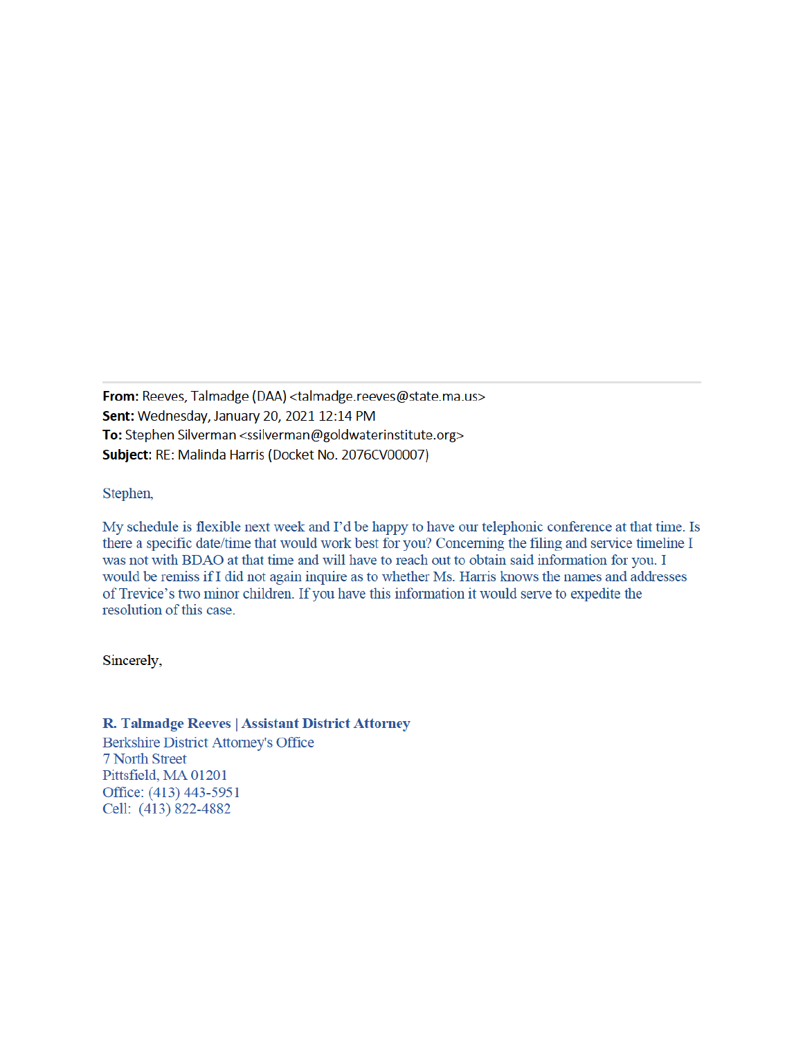From: Reeves, Talmadge (DAA) <talmadge.reeves@state.ma.us> Sent: Wednesday, January 20, 2021 12:14 PM To: Stephen Silverman <ssilverman@goldwaterinstitute.org> Subject: RE: Malinda Harris (Docket No. 2076CV00007)

Stephen,

My schedule is flexible next week and I'd be happy to have our telephonic conference at that time. Is there a specific date/time that would work best for you? Concerning the filing and service timeline I was not with BDAO at that time and will have to reach out to obtain said information for you. I would be remiss if I did not again inquire as to whether Ms. Harris knows the names and addresses of Trevice's two minor children. If you have this information it would serve to expedite the resolution of this case.

Sincerely,

## R. Talmadge Reeves | Assistant District Attorney

**Berkshire District Attorney's Office** 7 North Street Pittsfield, MA 01201 Office: (413) 443-5951 Cell: (413) 822-4882